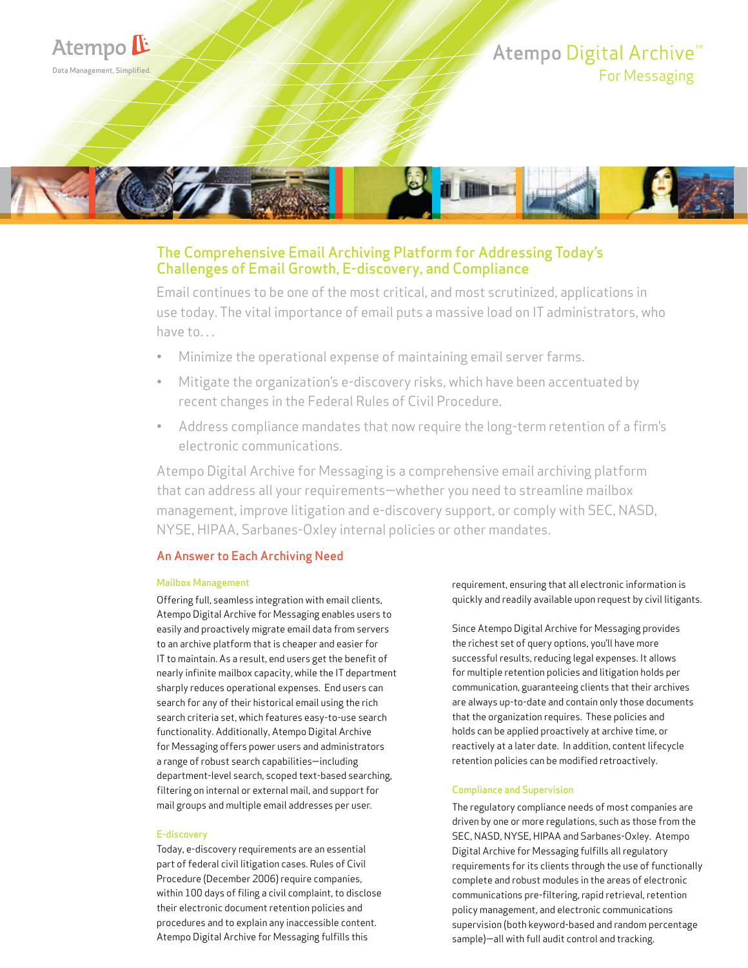

# The Comprehensive Email Archiving Platform for Addressing Today's Challenges of Email Growth, E-discovery, and Compliance

Email continues to be one of the most critical, and most scrutinized, applications in use today. The vital importance of email puts a massive load on IT administrators, who have to...

- Minimize the operational expense of maintaining email server farms.
- Mitigate the organization's e-discovery risks, which have been accentuated by recent changes in the Federal Rules of Civil Procedure.
- Address compliance mandates that now require the long-term retention of a firm's electronic communications.

Atempo Digital Archive for Messaging is a comprehensive email archiving platform that can address all your requirements—whether you need to streamline mailbox management, improve litigation and e-discovery support, or comply with SEC, NASD, NYSE, HIPAA, Sarbanes-Oxley internal policies or other mandates.

# An Answer to Each Archiving Need

#### Mailbox Management

Offering full, seamless integration with email clients, Atempo Digital Archive for Messaging enables users to easily and proactively migrate email data from servers to an archive platform that is cheaper and easier for IT to maintain. As a result, end users get the benefit of nearly infinite mailbox capacity, while the IT department sharply reduces operational expenses. End users can search for any of their historical email using the rich search criteria set, which features easy-to-use search functionality. Additionally, Atempo Digital Archive for Messaging offers power users and administrators a range of robust search capabilities—including department-level search, scoped text-based searching, filtering on internal or external mail, and support for mail groups and multiple email addresses per user.

#### E-discovery

Today, e-discovery requirements are an essential part of federal civil litigation cases. Rules of Civil Procedure (December 2006) require companies, within 100 days of filing a civil complaint, to disclose their electronic document retention policies and procedures and to explain any inaccessible content. Atempo Digital Archive for Messaging fulfills this

requirement, ensuring that all electronic information is quickly and readily available upon request by civil litigants.

Since Atempo Digital Archive for Messaging provides the richest set of query options, you'll have more successful results, reducing legal expenses. It allows for multiple retention policies and litigation holds per communication, guaranteeing clients that their archives are always up-to-date and contain only those documents that the organization requires. These policies and holds can be applied proactively at archive time, or reactively at a later date. In addition, content lifecycle retention policies can be modified retroactively.

#### Compliance and Supervision

The regulatory compliance needs of most companies are driven by one or more regulations, such as those from the SEC, NASD, NYSE, HIPAA and Sarbanes-Oxley. Atempo Digital Archive for Messaging fulfills all regulatory requirements for its clients through the use of functionally complete and robust modules in the areas of electronic communications pre-filtering, rapid retrieval, retention policy management, and electronic communications supervision (both keyword-based and random percentage sample)—all with full audit control and tracking.